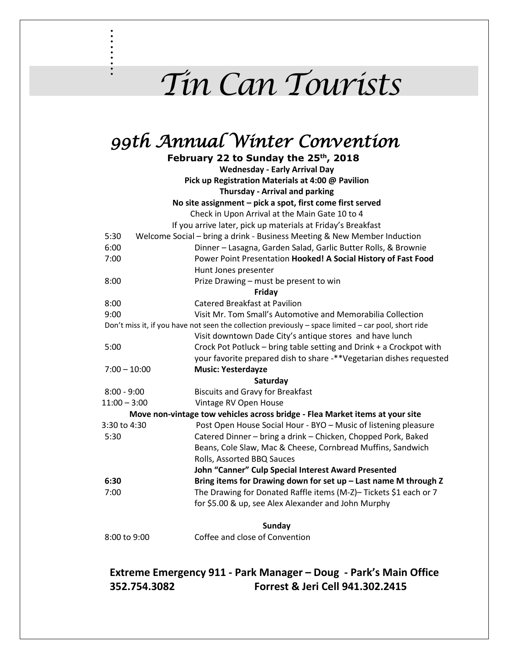## *Tin Can Tourists*

## *99th Annual Winter Convention*

. . . . . . . . .

**February 22 to Sunday the 25th, 2018 Wednesday - Early Arrival Day Pick up Registration Materials at 4:00 @ Pavilion Thursday - Arrival and parking No site assignment – pick a spot, first come first served** Check in Upon Arrival at the Main Gate 10 to 4 If you arrive later, pick up materials at Friday's Breakfast 5:30 Welcome Social – bring a drink - Business Meeting & New Member Induction 6:00 Dinner – Lasagna, Garden Salad, Garlic Butter Rolls, & Brownie 7:00 Power Point Presentation **Hooked! A Social History of Fast Food** Hunt Jones presenter 8:00 Prize Drawing – must be present to win **Friday** 8:00 Catered Breakfast at Pavilion 9:00 Visit Mr. Tom Small's Automotive and Memorabilia Collection Don't miss it, if you have not seen the collection previously – space limited – car pool, short ride Visit downtown Dade City's antique stores and have lunch 5:00 Crock Pot Potluck – bring table setting and Drink + a Crockpot with your favorite prepared dish to share -\*\*Vegetarian dishes requested 7:00 – 10:00 **Music: Yesterdayze Saturday** 8:00 - 9:00 Biscuits and Gravy for Breakfast 11:00 – 3:00 Vintage RV Open House **Move non-vintage tow vehicles across bridge - Flea Market items at your site** 3:30 to 4:30 Post Open House Social Hour - BYO – Music of listening pleasure 5:30 Catered Dinner – bring a drink – Chicken, Chopped Pork, Baked Beans, Cole Slaw, Mac & Cheese, Cornbread Muffins, Sandwich Rolls, Assorted BBQ Sauces **John "Canner" Culp Special Interest Award Presented 6:30 Bring items for Drawing down for set up – Last name M through Z** 7:00 The Drawing for Donated Raffle items (M-Z)– Tickets \$1 each or 7 for \$5.00 & up, see Alex Alexander and John Murphy **Sunday** 8:00 to 9:00 Coffee and close of Convention

## **Extreme Emergency 911 - Park Manager – Doug - Park's Main Office 352.754.3082 Forrest & Jeri Cell 941.302.2415**